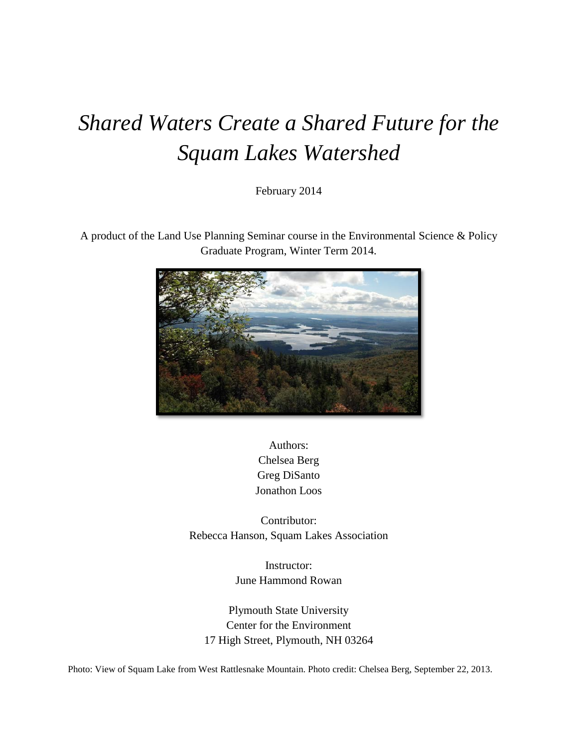# *Shared Waters Create a Shared Future for the Squam Lakes Watershed*

February 2014

A product of the Land Use Planning Seminar course in the Environmental Science & Policy Graduate Program, Winter Term 2014.



Authors: Chelsea Berg Greg DiSanto Jonathon Loos

Contributor: Rebecca Hanson, Squam Lakes Association

> Instructor: June Hammond Rowan

Plymouth State University Center for the Environment 17 High Street, Plymouth, NH 03264

Photo: View of Squam Lake from West Rattlesnake Mountain. Photo credit: Chelsea Berg, September 22, 2013.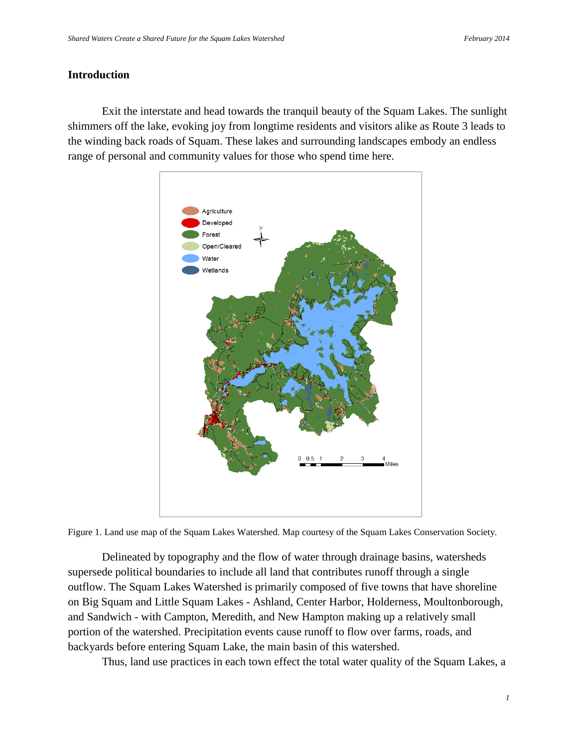#### **Introduction**

Exit the interstate and head towards the tranquil beauty of the Squam Lakes. The sunlight shimmers off the lake, evoking joy from longtime residents and visitors alike as Route 3 leads to the winding back roads of Squam. These lakes and surrounding landscapes embody an endless range of personal and community values for those who spend time here.



Figure 1. Land use map of the Squam Lakes Watershed. Map courtesy of the Squam Lakes Conservation Society.

Delineated by topography and the flow of water through drainage basins, watersheds supersede political boundaries to include all land that contributes runoff through a single outflow. The Squam Lakes Watershed is primarily composed of five towns that have shoreline on Big Squam and Little Squam Lakes - Ashland, Center Harbor, Holderness, Moultonborough, and Sandwich - with Campton, Meredith, and New Hampton making up a relatively small portion of the watershed. Precipitation events cause runoff to flow over farms, roads, and backyards before entering Squam Lake, the main basin of this watershed.

Thus, land use practices in each town effect the total water quality of the Squam Lakes, a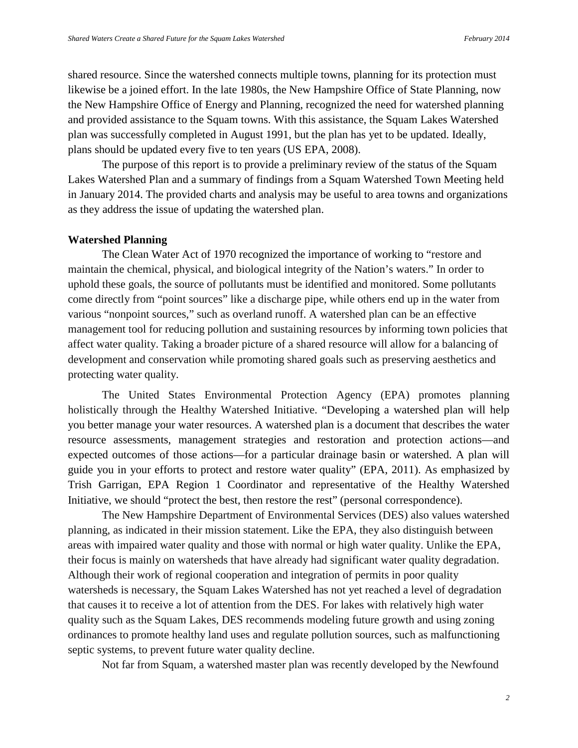shared resource. Since the watershed connects multiple towns, planning for its protection must likewise be a joined effort. In the late 1980s, the New Hampshire Office of State Planning, now the New Hampshire Office of Energy and Planning, recognized the need for watershed planning and provided assistance to the Squam towns. With this assistance, the Squam Lakes Watershed plan was successfully completed in August 1991, but the plan has yet to be updated. Ideally, plans should be updated every five to ten years (US EPA, 2008).

The purpose of this report is to provide a preliminary review of the status of the Squam Lakes Watershed Plan and a summary of findings from a Squam Watershed Town Meeting held in January 2014. The provided charts and analysis may be useful to area towns and organizations as they address the issue of updating the watershed plan.

#### **Watershed Planning**

The Clean Water Act of 1970 recognized the importance of working to "restore and maintain the chemical, physical, and biological integrity of the Nation's waters." In order to uphold these goals, the source of pollutants must be identified and monitored. Some pollutants come directly from "point sources" like a discharge pipe, while others end up in the water from various "nonpoint sources," such as overland runoff. A watershed plan can be an effective management tool for reducing pollution and sustaining resources by informing town policies that affect water quality. Taking a broader picture of a shared resource will allow for a balancing of development and conservation while promoting shared goals such as preserving aesthetics and protecting water quality.

The United States Environmental Protection Agency (EPA) promotes planning holistically through the Healthy Watershed Initiative. "Developing a watershed plan will help you better manage your water resources. A watershed plan is a document that describes the water resource assessments, management strategies and restoration and protection actions—and expected outcomes of those actions—for a particular drainage basin or watershed. A plan will guide you in your efforts to protect and restore water quality" (EPA, 2011). As emphasized by Trish Garrigan, EPA Region 1 Coordinator and representative of the Healthy Watershed Initiative, we should "protect the best, then restore the rest" (personal correspondence).

The New Hampshire Department of Environmental Services (DES) also values watershed planning, as indicated in their mission statement. Like the EPA, they also distinguish between areas with impaired water quality and those with normal or high water quality. Unlike the EPA, their focus is mainly on watersheds that have already had significant water quality degradation. Although their work of regional cooperation and integration of permits in poor quality watersheds is necessary, the Squam Lakes Watershed has not yet reached a level of degradation that causes it to receive a lot of attention from the DES. For lakes with relatively high water quality such as the Squam Lakes, DES recommends modeling future growth and using zoning ordinances to promote healthy land uses and regulate pollution sources, such as malfunctioning septic systems, to prevent future water quality decline.

Not far from Squam, a watershed master plan was recently developed by the Newfound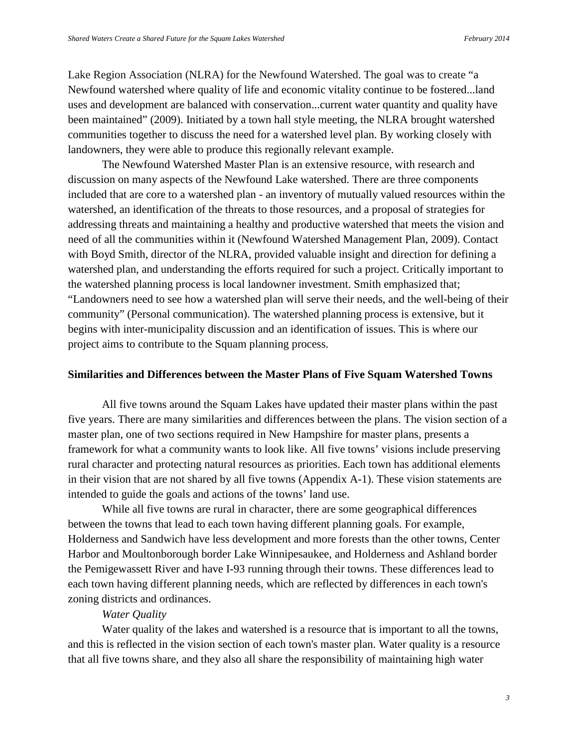Lake Region Association (NLRA) for the Newfound Watershed. The goal was to create "a Newfound watershed where quality of life and economic vitality continue to be fostered...land uses and development are balanced with conservation...current water quantity and quality have been maintained" (2009). Initiated by a town hall style meeting, the NLRA brought watershed communities together to discuss the need for a watershed level plan. By working closely with landowners, they were able to produce this regionally relevant example.

The Newfound Watershed Master Plan is an extensive resource, with research and discussion on many aspects of the Newfound Lake watershed. There are three components included that are core to a watershed plan - an inventory of mutually valued resources within the watershed, an identification of the threats to those resources, and a proposal of strategies for addressing threats and maintaining a healthy and productive watershed that meets the vision and need of all the communities within it (Newfound Watershed Management Plan, 2009). Contact with Boyd Smith, director of the NLRA, provided valuable insight and direction for defining a watershed plan, and understanding the efforts required for such a project. Critically important to the watershed planning process is local landowner investment. Smith emphasized that; "Landowners need to see how a watershed plan will serve their needs, and the well-being of their community" (Personal communication). The watershed planning process is extensive, but it begins with inter-municipality discussion and an identification of issues. This is where our project aims to contribute to the Squam planning process.

#### **Similarities and Differences between the Master Plans of Five Squam Watershed Towns**

All five towns around the Squam Lakes have updated their master plans within the past five years. There are many similarities and differences between the plans. The vision section of a master plan, one of two sections required in New Hampshire for master plans, presents a framework for what a community wants to look like. All five towns' visions include preserving rural character and protecting natural resources as priorities. Each town has additional elements in their vision that are not shared by all five towns (Appendix A-1). These vision statements are intended to guide the goals and actions of the towns' land use.

While all five towns are rural in character, there are some geographical differences between the towns that lead to each town having different planning goals. For example, Holderness and Sandwich have less development and more forests than the other towns, Center Harbor and Moultonborough border Lake Winnipesaukee, and Holderness and Ashland border the Pemigewassett River and have I-93 running through their towns. These differences lead to each town having different planning needs, which are reflected by differences in each town's zoning districts and ordinances.

#### *Water Quality*

Water quality of the lakes and watershed is a resource that is important to all the towns, and this is reflected in the vision section of each town's master plan. Water quality is a resource that all five towns share, and they also all share the responsibility of maintaining high water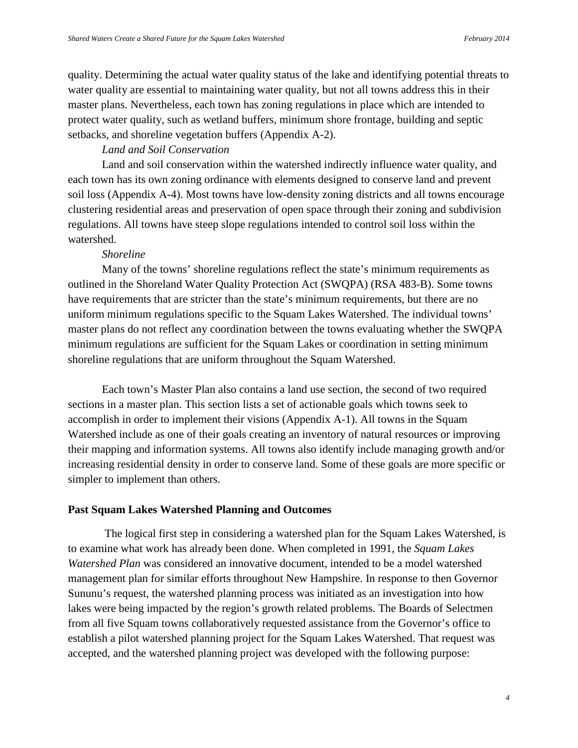quality. Determining the actual water quality status of the lake and identifying potential threats to water quality are essential to maintaining water quality, but not all towns address this in their master plans. Nevertheless, each town has zoning regulations in place which are intended to protect water quality, such as wetland buffers, minimum shore frontage, building and septic setbacks, and shoreline vegetation buffers (Appendix A-2).

#### *Land and Soil Conservation*

Land and soil conservation within the watershed indirectly influence water quality, and each town has its own zoning ordinance with elements designed to conserve land and prevent soil loss (Appendix A-4). Most towns have low-density zoning districts and all towns encourage clustering residential areas and preservation of open space through their zoning and subdivision regulations. All towns have steep slope regulations intended to control soil loss within the watershed.

#### *Shoreline*

Many of the towns' shoreline regulations reflect the state's minimum requirements as outlined in the Shoreland Water Quality Protection Act (SWQPA) (RSA 483-B). Some towns have requirements that are stricter than the state's minimum requirements, but there are no uniform minimum regulations specific to the Squam Lakes Watershed. The individual towns' master plans do not reflect any coordination between the towns evaluating whether the SWQPA minimum regulations are sufficient for the Squam Lakes or coordination in setting minimum shoreline regulations that are uniform throughout the Squam Watershed.

 Each town's Master Plan also contains a land use section, the second of two required sections in a master plan. This section lists a set of actionable goals which towns seek to accomplish in order to implement their visions (Appendix A-1). All towns in the Squam Watershed include as one of their goals creating an inventory of natural resources or improving their mapping and information systems. All towns also identify include managing growth and/or increasing residential density in order to conserve land. Some of these goals are more specific or simpler to implement than others.

#### **Past Squam Lakes Watershed Planning and Outcomes**

The logical first step in considering a watershed plan for the Squam Lakes Watershed, is to examine what work has already been done. When completed in 1991, the *Squam Lakes Watershed Plan* was considered an innovative document, intended to be a model watershed management plan for similar efforts throughout New Hampshire. In response to then Governor Sununu's request, the watershed planning process was initiated as an investigation into how lakes were being impacted by the region's growth related problems. The Boards of Selectmen from all five Squam towns collaboratively requested assistance from the Governor's office to establish a pilot watershed planning project for the Squam Lakes Watershed. That request was accepted, and the watershed planning project was developed with the following purpose: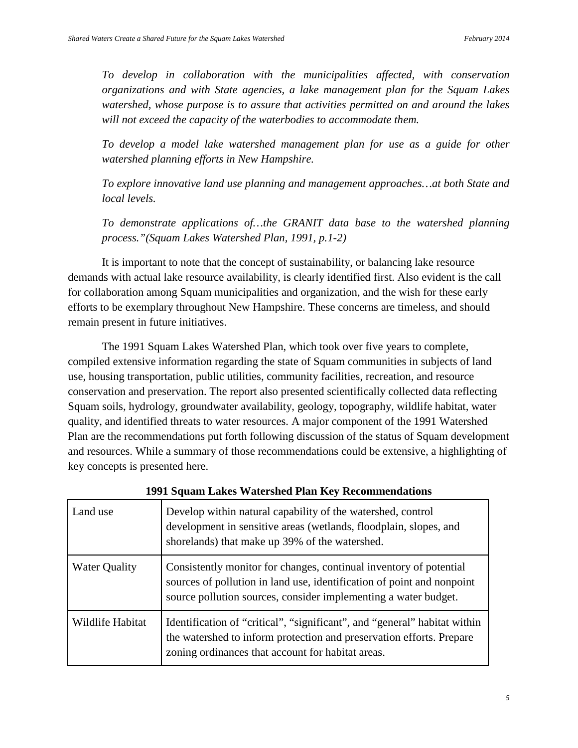*To develop in collaboration with the municipalities affected, with conservation organizations and with State agencies, a lake management plan for the Squam Lakes watershed, whose purpose is to assure that activities permitted on and around the lakes will not exceed the capacity of the waterbodies to accommodate them.*

*To develop a model lake watershed management plan for use as a guide for other watershed planning efforts in New Hampshire.*

*To explore innovative land use planning and management approaches…at both State and local levels.*

*To demonstrate applications of…the GRANIT data base to the watershed planning process."(Squam Lakes Watershed Plan, 1991, p.1-2)*

It is important to note that the concept of sustainability, or balancing lake resource demands with actual lake resource availability, is clearly identified first. Also evident is the call for collaboration among Squam municipalities and organization, and the wish for these early efforts to be exemplary throughout New Hampshire. These concerns are timeless, and should remain present in future initiatives.

The 1991 Squam Lakes Watershed Plan, which took over five years to complete, compiled extensive information regarding the state of Squam communities in subjects of land use, housing transportation, public utilities, community facilities, recreation, and resource conservation and preservation. The report also presented scientifically collected data reflecting Squam soils, hydrology, groundwater availability, geology, topography, wildlife habitat, water quality, and identified threats to water resources. A major component of the 1991 Watershed Plan are the recommendations put forth following discussion of the status of Squam development and resources. While a summary of those recommendations could be extensive, a highlighting of key concepts is presented here.

| Land use             | Develop within natural capability of the watershed, control<br>development in sensitive areas (wetlands, floodplain, slopes, and<br>shorelands) that make up 39% of the watershed.                              |
|----------------------|-----------------------------------------------------------------------------------------------------------------------------------------------------------------------------------------------------------------|
| <b>Water Quality</b> | Consistently monitor for changes, continual inventory of potential<br>sources of pollution in land use, identification of point and nonpoint<br>source pollution sources, consider implementing a water budget. |
| Wildlife Habitat     | Identification of "critical", "significant", and "general" habitat within<br>the watershed to inform protection and preservation efforts. Prepare<br>zoning ordinances that account for habitat areas.          |

**1991 Squam Lakes Watershed Plan Key Recommendations**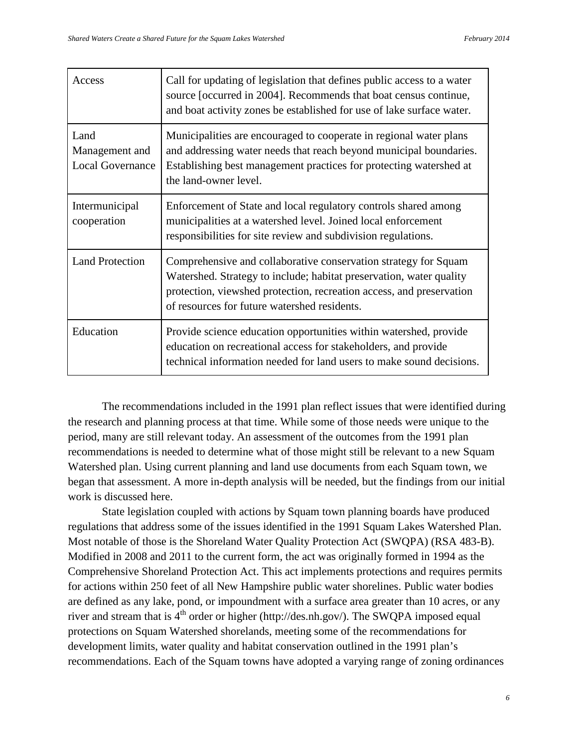| Access                                            | Call for updating of legislation that defines public access to a water<br>source [occurred in 2004]. Recommends that boat census continue,<br>and boat activity zones be established for use of lake surface water.                                            |
|---------------------------------------------------|----------------------------------------------------------------------------------------------------------------------------------------------------------------------------------------------------------------------------------------------------------------|
| Land<br>Management and<br><b>Local Governance</b> | Municipalities are encouraged to cooperate in regional water plans<br>and addressing water needs that reach beyond municipal boundaries.<br>Establishing best management practices for protecting watershed at<br>the land-owner level.                        |
| Intermunicipal<br>cooperation                     | Enforcement of State and local regulatory controls shared among<br>municipalities at a watershed level. Joined local enforcement<br>responsibilities for site review and subdivision regulations.                                                              |
| <b>Land Protection</b>                            | Comprehensive and collaborative conservation strategy for Squam<br>Watershed. Strategy to include; habitat preservation, water quality<br>protection, viewshed protection, recreation access, and preservation<br>of resources for future watershed residents. |
| Education                                         | Provide science education opportunities within watershed, provide<br>education on recreational access for stakeholders, and provide<br>technical information needed for land users to make sound decisions.                                                    |

The recommendations included in the 1991 plan reflect issues that were identified during the research and planning process at that time. While some of those needs were unique to the period, many are still relevant today. An assessment of the outcomes from the 1991 plan recommendations is needed to determine what of those might still be relevant to a new Squam Watershed plan. Using current planning and land use documents from each Squam town, we began that assessment. A more in-depth analysis will be needed, but the findings from our initial work is discussed here.

State legislation coupled with actions by Squam town planning boards have produced regulations that address some of the issues identified in the 1991 Squam Lakes Watershed Plan. Most notable of those is the Shoreland Water Quality Protection Act (SWQPA) (RSA 483-B). Modified in 2008 and 2011 to the current form, the act was originally formed in 1994 as the Comprehensive Shoreland Protection Act. This act implements protections and requires permits for actions within 250 feet of all New Hampshire public water shorelines. Public water bodies are defined as any lake, pond, or impoundment with a surface area greater than 10 acres, or any river and stream that is  $4<sup>th</sup>$  order or higher (http://des.nh.gov/). The SWQPA imposed equal protections on Squam Watershed shorelands, meeting some of the recommendations for development limits, water quality and habitat conservation outlined in the 1991 plan's recommendations. Each of the Squam towns have adopted a varying range of zoning ordinances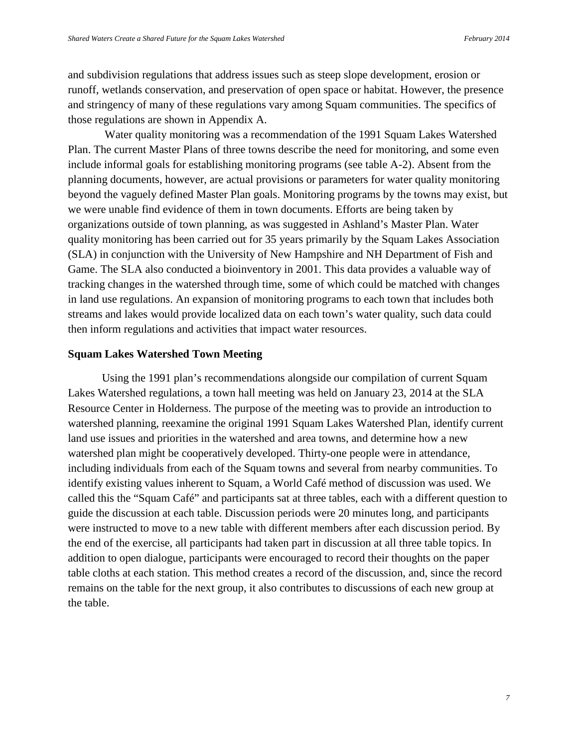and subdivision regulations that address issues such as steep slope development, erosion or runoff, wetlands conservation, and preservation of open space or habitat. However, the presence and stringency of many of these regulations vary among Squam communities. The specifics of those regulations are shown in Appendix A.

Water quality monitoring was a recommendation of the 1991 Squam Lakes Watershed Plan. The current Master Plans of three towns describe the need for monitoring, and some even include informal goals for establishing monitoring programs (see table A-2). Absent from the planning documents, however, are actual provisions or parameters for water quality monitoring beyond the vaguely defined Master Plan goals. Monitoring programs by the towns may exist, but we were unable find evidence of them in town documents. Efforts are being taken by organizations outside of town planning, as was suggested in Ashland's Master Plan. Water quality monitoring has been carried out for 35 years primarily by the Squam Lakes Association (SLA) in conjunction with the University of New Hampshire and NH Department of Fish and Game. The SLA also conducted a bioinventory in 2001. This data provides a valuable way of tracking changes in the watershed through time, some of which could be matched with changes in land use regulations. An expansion of monitoring programs to each town that includes both streams and lakes would provide localized data on each town's water quality, such data could then inform regulations and activities that impact water resources.

#### **Squam Lakes Watershed Town Meeting**

Using the 1991 plan's recommendations alongside our compilation of current Squam Lakes Watershed regulations, a town hall meeting was held on January 23, 2014 at the SLA Resource Center in Holderness. The purpose of the meeting was to provide an introduction to watershed planning, reexamine the original 1991 Squam Lakes Watershed Plan, identify current land use issues and priorities in the watershed and area towns, and determine how a new watershed plan might be cooperatively developed. Thirty-one people were in attendance, including individuals from each of the Squam towns and several from nearby communities. To identify existing values inherent to Squam, a World Café method of discussion was used. We called this the "Squam Café" and participants sat at three tables, each with a different question to guide the discussion at each table. Discussion periods were 20 minutes long, and participants were instructed to move to a new table with different members after each discussion period. By the end of the exercise, all participants had taken part in discussion at all three table topics. In addition to open dialogue, participants were encouraged to record their thoughts on the paper table cloths at each station. This method creates a record of the discussion, and, since the record remains on the table for the next group, it also contributes to discussions of each new group at the table.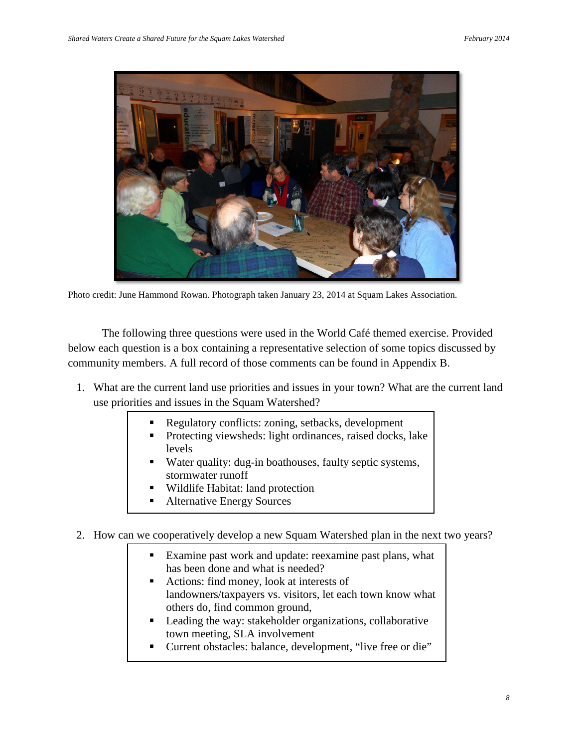

Photo credit: June Hammond Rowan. Photograph taken January 23, 2014 at Squam Lakes Association.

The following three questions were used in the World Café themed exercise. Provided below each question is a box containing a representative selection of some topics discussed by community members. A full record of those comments can be found in Appendix B.

- 1. What are the current land use priorities and issues in your town? What are the current land use priorities and issues in the Squam Watershed?
	- Regulatory conflicts: zoning, setbacks, development
	- Protecting viewsheds: light ordinances, raised docks, lake levels
	- Water quality: dug-in boathouses, faulty septic systems, stormwater runoff
	- Wildlife Habitat: land protection
	- Alternative Energy Sources

2. How can we cooperatively develop a new Squam Watershed plan in the next two years?

- **Examine past work and update: reexamine past plans, what** has been done and what is needed?
- Actions: find money, look at interests of landowners/taxpayers vs. visitors, let each town know what others do, find common ground,
- Leading the way: stakeholder organizations, collaborative town meeting, SLA involvement
- Current obstacles: balance, development, "live free or die"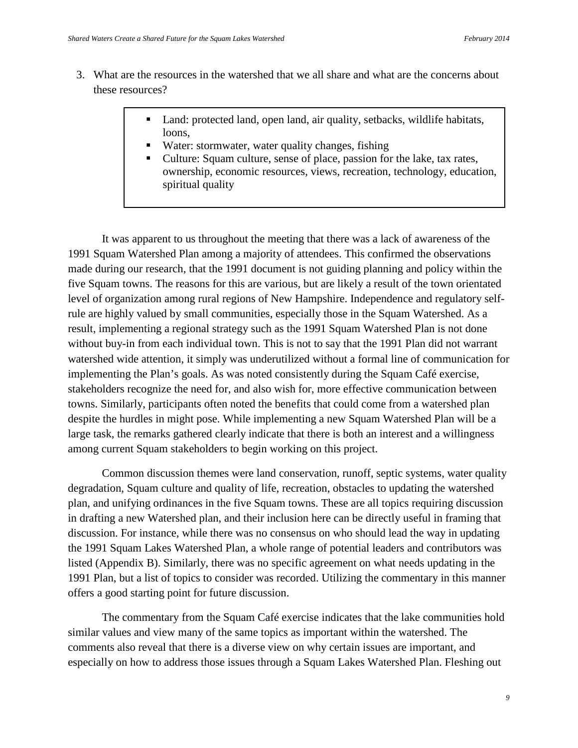- 3. What are the resources in the watershed that we all share and what are the concerns about these resources?
	- Land: protected land, open land, air quality, setbacks, wildlife habitats, loons,
	- Water: stormwater, water quality changes, fishing
	- Culture: Squam culture, sense of place, passion for the lake, tax rates, ownership, economic resources, views, recreation, technology, education, spiritual quality

It was apparent to us throughout the meeting that there was a lack of awareness of the 1991 Squam Watershed Plan among a majority of attendees. This confirmed the observations made during our research, that the 1991 document is not guiding planning and policy within the five Squam towns. The reasons for this are various, but are likely a result of the town orientated level of organization among rural regions of New Hampshire. Independence and regulatory selfrule are highly valued by small communities, especially those in the Squam Watershed. As a result, implementing a regional strategy such as the 1991 Squam Watershed Plan is not done without buy-in from each individual town. This is not to say that the 1991 Plan did not warrant watershed wide attention, it simply was underutilized without a formal line of communication for implementing the Plan's goals. As was noted consistently during the Squam Café exercise, stakeholders recognize the need for, and also wish for, more effective communication between towns. Similarly, participants often noted the benefits that could come from a watershed plan despite the hurdles in might pose. While implementing a new Squam Watershed Plan will be a large task, the remarks gathered clearly indicate that there is both an interest and a willingness among current Squam stakeholders to begin working on this project.

Common discussion themes were land conservation, runoff, septic systems, water quality degradation, Squam culture and quality of life, recreation, obstacles to updating the watershed plan, and unifying ordinances in the five Squam towns. These are all topics requiring discussion in drafting a new Watershed plan, and their inclusion here can be directly useful in framing that discussion. For instance, while there was no consensus on who should lead the way in updating the 1991 Squam Lakes Watershed Plan, a whole range of potential leaders and contributors was listed (Appendix B). Similarly, there was no specific agreement on what needs updating in the 1991 Plan, but a list of topics to consider was recorded. Utilizing the commentary in this manner offers a good starting point for future discussion.

The commentary from the Squam Café exercise indicates that the lake communities hold similar values and view many of the same topics as important within the watershed. The comments also reveal that there is a diverse view on why certain issues are important, and especially on how to address those issues through a Squam Lakes Watershed Plan. Fleshing out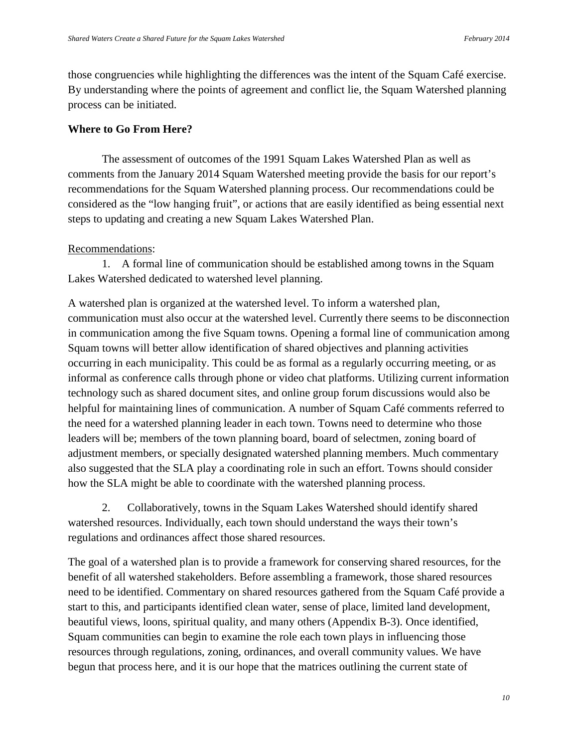those congruencies while highlighting the differences was the intent of the Squam Café exercise. By understanding where the points of agreement and conflict lie, the Squam Watershed planning process can be initiated.

## **Where to Go From Here?**

The assessment of outcomes of the 1991 Squam Lakes Watershed Plan as well as comments from the January 2014 Squam Watershed meeting provide the basis for our report's recommendations for the Squam Watershed planning process. Our recommendations could be considered as the "low hanging fruit", or actions that are easily identified as being essential next steps to updating and creating a new Squam Lakes Watershed Plan.

## Recommendations:

1. A formal line of communication should be established among towns in the Squam Lakes Watershed dedicated to watershed level planning.

A watershed plan is organized at the watershed level. To inform a watershed plan, communication must also occur at the watershed level. Currently there seems to be disconnection in communication among the five Squam towns. Opening a formal line of communication among Squam towns will better allow identification of shared objectives and planning activities occurring in each municipality. This could be as formal as a regularly occurring meeting, or as informal as conference calls through phone or video chat platforms. Utilizing current information technology such as shared document sites, and online group forum discussions would also be helpful for maintaining lines of communication. A number of Squam Café comments referred to the need for a watershed planning leader in each town. Towns need to determine who those leaders will be; members of the town planning board, board of selectmen, zoning board of adjustment members, or specially designated watershed planning members. Much commentary also suggested that the SLA play a coordinating role in such an effort. Towns should consider how the SLA might be able to coordinate with the watershed planning process.

2. Collaboratively, towns in the Squam Lakes Watershed should identify shared watershed resources. Individually, each town should understand the ways their town's regulations and ordinances affect those shared resources.

The goal of a watershed plan is to provide a framework for conserving shared resources, for the benefit of all watershed stakeholders. Before assembling a framework, those shared resources need to be identified. Commentary on shared resources gathered from the Squam Café provide a start to this, and participants identified clean water, sense of place, limited land development, beautiful views, loons, spiritual quality, and many others (Appendix B-3). Once identified, Squam communities can begin to examine the role each town plays in influencing those resources through regulations, zoning, ordinances, and overall community values. We have begun that process here, and it is our hope that the matrices outlining the current state of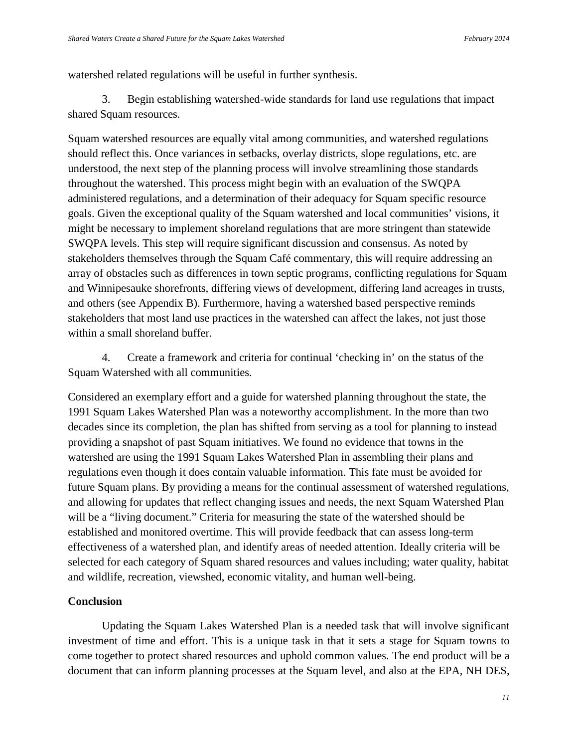watershed related regulations will be useful in further synthesis.

3. Begin establishing watershed-wide standards for land use regulations that impact shared Squam resources.

Squam watershed resources are equally vital among communities, and watershed regulations should reflect this. Once variances in setbacks, overlay districts, slope regulations, etc. are understood, the next step of the planning process will involve streamlining those standards throughout the watershed. This process might begin with an evaluation of the SWQPA administered regulations, and a determination of their adequacy for Squam specific resource goals. Given the exceptional quality of the Squam watershed and local communities' visions, it might be necessary to implement shoreland regulations that are more stringent than statewide SWQPA levels. This step will require significant discussion and consensus. As noted by stakeholders themselves through the Squam Café commentary, this will require addressing an array of obstacles such as differences in town septic programs, conflicting regulations for Squam and Winnipesauke shorefronts, differing views of development, differing land acreages in trusts, and others (see Appendix B). Furthermore, having a watershed based perspective reminds stakeholders that most land use practices in the watershed can affect the lakes, not just those within a small shoreland buffer.

4. Create a framework and criteria for continual 'checking in' on the status of the Squam Watershed with all communities.

Considered an exemplary effort and a guide for watershed planning throughout the state, the 1991 Squam Lakes Watershed Plan was a noteworthy accomplishment. In the more than two decades since its completion, the plan has shifted from serving as a tool for planning to instead providing a snapshot of past Squam initiatives. We found no evidence that towns in the watershed are using the 1991 Squam Lakes Watershed Plan in assembling their plans and regulations even though it does contain valuable information. This fate must be avoided for future Squam plans. By providing a means for the continual assessment of watershed regulations, and allowing for updates that reflect changing issues and needs, the next Squam Watershed Plan will be a "living document." Criteria for measuring the state of the watershed should be established and monitored overtime. This will provide feedback that can assess long-term effectiveness of a watershed plan, and identify areas of needed attention. Ideally criteria will be selected for each category of Squam shared resources and values including; water quality, habitat and wildlife, recreation, viewshed, economic vitality, and human well-being.

#### **Conclusion**

Updating the Squam Lakes Watershed Plan is a needed task that will involve significant investment of time and effort. This is a unique task in that it sets a stage for Squam towns to come together to protect shared resources and uphold common values. The end product will be a document that can inform planning processes at the Squam level, and also at the EPA, NH DES,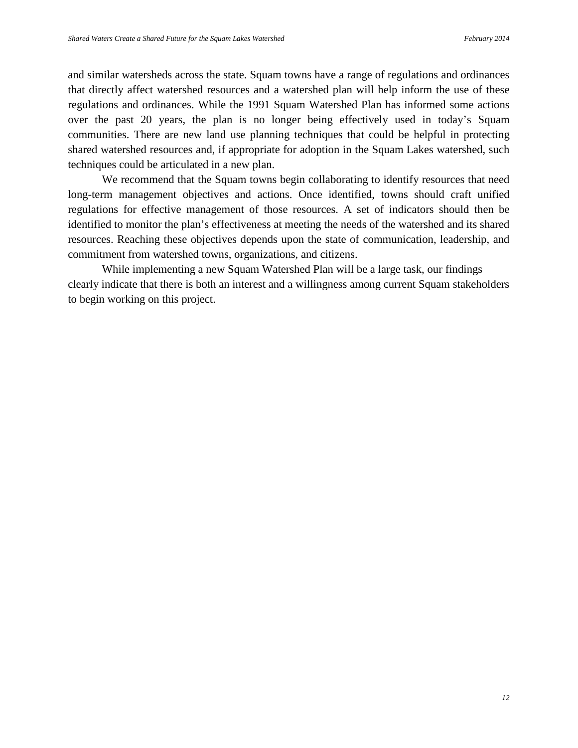and similar watersheds across the state. Squam towns have a range of regulations and ordinances that directly affect watershed resources and a watershed plan will help inform the use of these regulations and ordinances. While the 1991 Squam Watershed Plan has informed some actions over the past 20 years, the plan is no longer being effectively used in today's Squam communities. There are new land use planning techniques that could be helpful in protecting shared watershed resources and, if appropriate for adoption in the Squam Lakes watershed, such techniques could be articulated in a new plan.

We recommend that the Squam towns begin collaborating to identify resources that need long-term management objectives and actions. Once identified, towns should craft unified regulations for effective management of those resources. A set of indicators should then be identified to monitor the plan's effectiveness at meeting the needs of the watershed and its shared resources. Reaching these objectives depends upon the state of communication, leadership, and commitment from watershed towns, organizations, and citizens.

While implementing a new Squam Watershed Plan will be a large task, our findings clearly indicate that there is both an interest and a willingness among current Squam stakeholders to begin working on this project.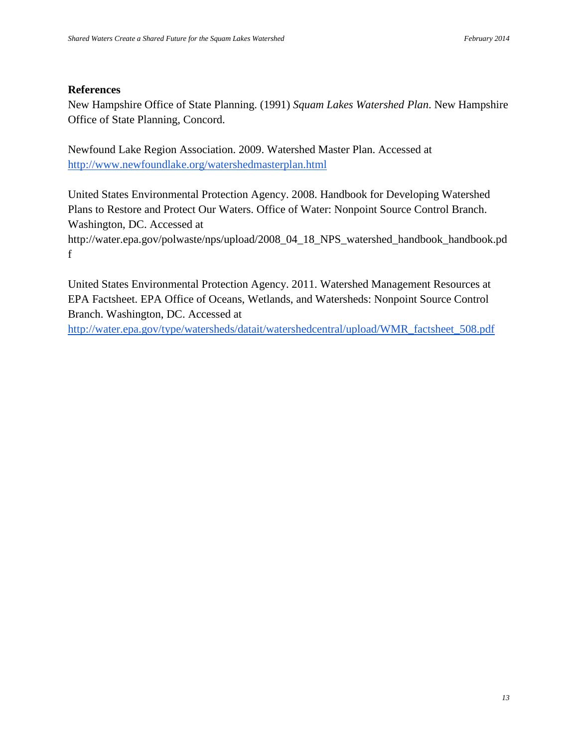#### **References**

New Hampshire Office of State Planning. (1991) *Squam Lakes Watershed Plan*. New Hampshire Office of State Planning, Concord.

Newfound Lake Region Association. 2009. Watershed Master Plan. Accessed at <http://www.newfoundlake.org/watershedmasterplan.html>

United States Environmental Protection Agency. 2008. Handbook for Developing Watershed Plans to Restore and Protect Our Waters. Office of Water: Nonpoint Source Control Branch. Washington, DC. Accessed at

http://water.epa.gov/polwaste/nps/upload/2008\_04\_18\_NPS\_watershed\_handbook\_handbook.pd f

United States Environmental Protection Agency. 2011. Watershed Management Resources at EPA Factsheet. EPA Office of Oceans, Wetlands, and Watersheds: Nonpoint Source Control Branch. Washington, DC. Accessed at

[http://water.epa.gov/type/watersheds/datait/watershedcentral/upload/WMR\\_factsheet\\_508.pdf](http://water.epa.gov/type/watersheds/datait/watershedcentral/upload/WMR_factsheet_508.pdf)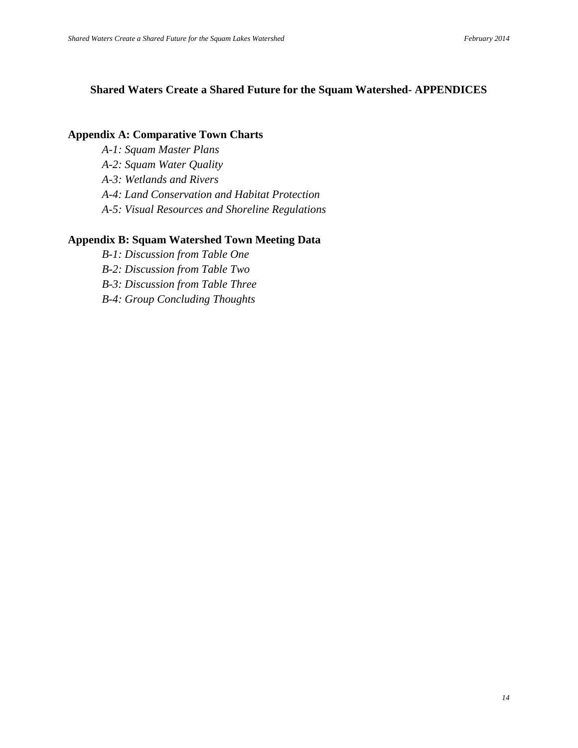# **Shared Waters Create a Shared Future for the Squam Watershed- APPENDICES**

#### **Appendix A: Comparative Town Charts**

- *A-1: Squam Master Plans*
- *A-2: Squam Water Quality*
- *A-3: Wetlands and Rivers*
- *A-4: Land Conservation and Habitat Protection*
- *A-5: Visual Resources and Shoreline Regulations*

#### **Appendix B: Squam Watershed Town Meeting Data**

*B-1: Discussion from Table One B-2: Discussion from Table Two B-3: Discussion from Table Three B-4: Group Concluding Thoughts*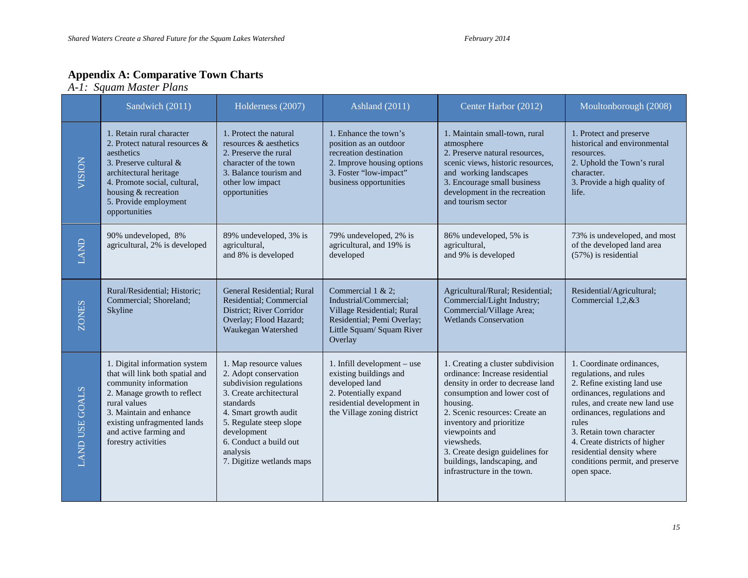#### **Appendix A: Comparative Town Charts**

*A-1: Squam Master Plans*

|                       | Sandwich (2011)                                                                                                                                                                                                                                     | Holderness (2007)                                                                                                                                                                                                                                        | <b>Ashland</b> (2011)                                                                                                                                         | Center Harbor (2012)                                                                                                                                                                                                                                                                                                                                  | Moultonborough (2008)                                                                                                                                                                                                                                                                                                                   |
|-----------------------|-----------------------------------------------------------------------------------------------------------------------------------------------------------------------------------------------------------------------------------------------------|----------------------------------------------------------------------------------------------------------------------------------------------------------------------------------------------------------------------------------------------------------|---------------------------------------------------------------------------------------------------------------------------------------------------------------|-------------------------------------------------------------------------------------------------------------------------------------------------------------------------------------------------------------------------------------------------------------------------------------------------------------------------------------------------------|-----------------------------------------------------------------------------------------------------------------------------------------------------------------------------------------------------------------------------------------------------------------------------------------------------------------------------------------|
| VISION                | 1. Retain rural character<br>2. Protect natural resources &<br>aesthetics<br>3. Preserve cultural &<br>architectural heritage<br>4. Promote social, cultural,<br>housing & recreation<br>5. Provide employment<br>opportunities                     | 1. Protect the natural<br>resources & aesthetics<br>2. Preserve the rural<br>character of the town<br>3. Balance tourism and<br>other low impact<br>opportunities                                                                                        | 1. Enhance the town's<br>position as an outdoor<br>recreation destination<br>2. Improve housing options<br>3. Foster "low-impact"<br>business opportunities   | 1. Maintain small-town, rural<br>atmosphere<br>2. Preserve natural resources,<br>scenic views, historic resources,<br>and working landscapes<br>3. Encourage small business<br>development in the recreation<br>and tourism sector                                                                                                                    | 1. Protect and preserve<br>historical and environmental<br>resources.<br>2. Uphold the Town's rural<br>character.<br>3. Provide a high quality of<br>life.                                                                                                                                                                              |
| LAND                  | 90% undeveloped, 8%<br>agricultural, 2% is developed                                                                                                                                                                                                | 89% undeveloped, 3% is<br>agricultural,<br>and 8% is developed                                                                                                                                                                                           | 79% undeveloped, 2% is<br>agricultural, and 19% is<br>developed                                                                                               | 86% undeveloped, 5% is<br>agricultural,<br>and 9% is developed                                                                                                                                                                                                                                                                                        | 73% is undeveloped, and most<br>of the developed land area<br>$(57%)$ is residential                                                                                                                                                                                                                                                    |
| <b>ZONES</b>          | Rural/Residential; Historic;<br>Commercial; Shoreland;<br>Skyline                                                                                                                                                                                   | General Residential; Rural<br>Residential; Commercial<br>District; River Corridor<br>Overlay; Flood Hazard;<br>Waukegan Watershed                                                                                                                        | Commercial $1 & 2$ ;<br>Industrial/Commercial;<br>Village Residential; Rural<br>Residential; Pemi Overlay;<br>Little Squam/ Squam River<br>Overlay            | Agricultural/Rural; Residential;<br>Commercial/Light Industry;<br>Commercial/Village Area;<br><b>Wetlands Conservation</b>                                                                                                                                                                                                                            | Residential/Agricultural;<br>Commercial 1,2,&3                                                                                                                                                                                                                                                                                          |
| <b>LAND USE GOALS</b> | 1. Digital information system<br>that will link both spatial and<br>community information<br>2. Manage growth to reflect<br>rural values<br>3. Maintain and enhance<br>existing unfragmented lands<br>and active farming and<br>forestry activities | 1. Map resource values<br>2. Adopt conservation<br>subdivision regulations<br>3. Create architectural<br>standards<br>4. Smart growth audit<br>5. Regulate steep slope<br>development<br>6. Conduct a build out<br>analysis<br>7. Digitize wetlands maps | 1. Infill development - use<br>existing buildings and<br>developed land<br>2. Potentially expand<br>residential development in<br>the Village zoning district | 1. Creating a cluster subdivision<br>ordinance: Increase residential<br>density in order to decrease land<br>consumption and lower cost of<br>housing.<br>2. Scenic resources: Create an<br>inventory and prioritize<br>viewpoints and<br>viewsheds.<br>3. Create design guidelines for<br>buildings, landscaping, and<br>infrastructure in the town. | 1. Coordinate ordinances,<br>regulations, and rules<br>2. Refine existing land use<br>ordinances, regulations and<br>rules, and create new land use<br>ordinances, regulations and<br>rules<br>3. Retain town character<br>4. Create districts of higher<br>residential density where<br>conditions permit, and preserve<br>open space. |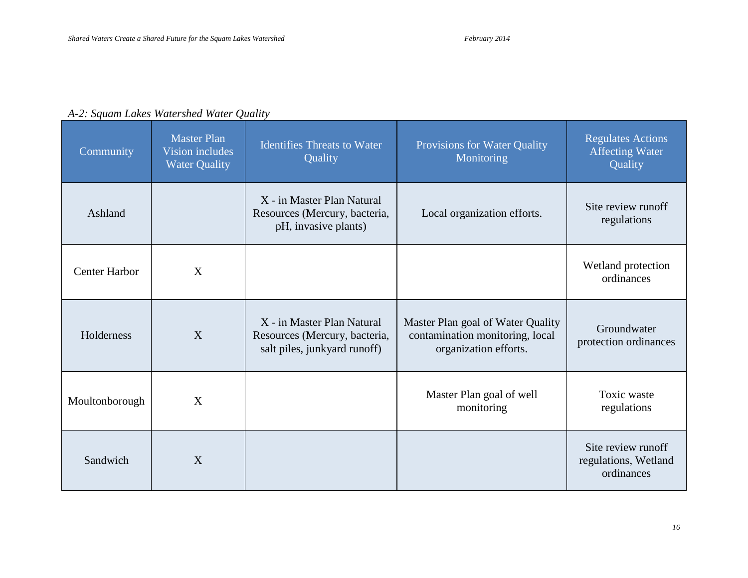| A-2: Squam Lakes Watershed Water Quality |  |  |  |
|------------------------------------------|--|--|--|
|------------------------------------------|--|--|--|

| Community            | <b>Master Plan</b><br>Vision includes<br><b>Water Quality</b> | <b>Identifies Threats to Water</b><br>Quality                                               | Provisions for Water Quality<br>Monitoring                                                    | <b>Regulates Actions</b><br><b>Affecting Water</b><br>Quality |
|----------------------|---------------------------------------------------------------|---------------------------------------------------------------------------------------------|-----------------------------------------------------------------------------------------------|---------------------------------------------------------------|
| Ashland              |                                                               | X - in Master Plan Natural<br>Resources (Mercury, bacteria,<br>pH, invasive plants)         | Local organization efforts.                                                                   | Site review runoff<br>regulations                             |
| <b>Center Harbor</b> | X                                                             |                                                                                             |                                                                                               | Wetland protection<br>ordinances                              |
| Holderness           | X                                                             | X - in Master Plan Natural<br>Resources (Mercury, bacteria,<br>salt piles, junkyard runoff) | Master Plan goal of Water Quality<br>contamination monitoring, local<br>organization efforts. | Groundwater<br>protection ordinances                          |
| Moultonborough       | X                                                             |                                                                                             | Master Plan goal of well<br>monitoring                                                        | Toxic waste<br>regulations                                    |
| Sandwich             | X                                                             |                                                                                             |                                                                                               | Site review runoff<br>regulations, Wetland<br>ordinances      |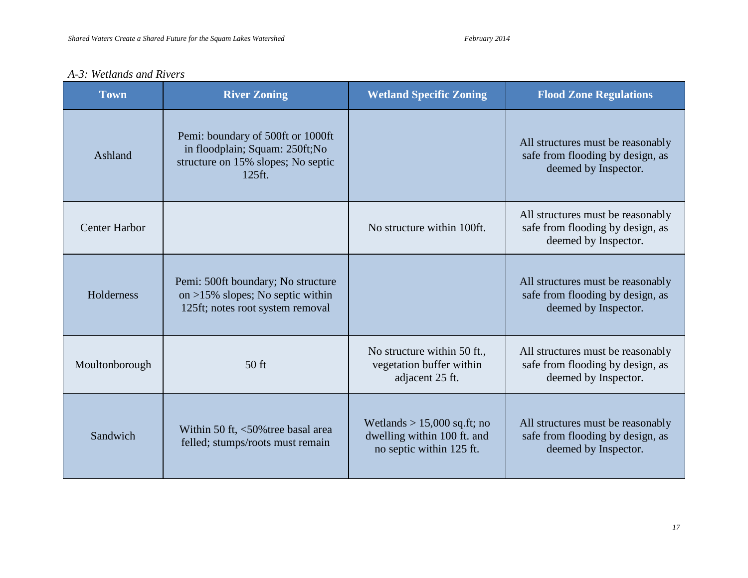# *A-3: Wetlands and Rivers*

| <b>Town</b>          | <b>River Zoning</b>                                                                                                  | <b>Wetland Specific Zoning</b>                                                           | <b>Flood Zone Regulations</b>                                                                 |
|----------------------|----------------------------------------------------------------------------------------------------------------------|------------------------------------------------------------------------------------------|-----------------------------------------------------------------------------------------------|
| Ashland              | Pemi: boundary of 500ft or 1000ft<br>in floodplain; Squam: 250ft; No<br>structure on 15% slopes; No septic<br>125ft. |                                                                                          | All structures must be reasonably<br>safe from flooding by design, as<br>deemed by Inspector. |
| <b>Center Harbor</b> |                                                                                                                      | No structure within 100ft.                                                               | All structures must be reasonably<br>safe from flooding by design, as<br>deemed by Inspector. |
| Holderness           | Pemi: 500ft boundary; No structure<br>on $>15\%$ slopes; No septic within<br>125ft; notes root system removal        |                                                                                          | All structures must be reasonably<br>safe from flooding by design, as<br>deemed by Inspector. |
| Moultonborough       | $50$ ft                                                                                                              | No structure within 50 ft.,<br>vegetation buffer within<br>adjacent 25 ft.               | All structures must be reasonably<br>safe from flooding by design, as<br>deemed by Inspector. |
| Sandwich             | Within 50 ft, <50% tree basal area<br>felled; stumps/roots must remain                                               | Wetlands $> 15,000$ sq.ft; no<br>dwelling within 100 ft. and<br>no septic within 125 ft. | All structures must be reasonably<br>safe from flooding by design, as<br>deemed by Inspector. |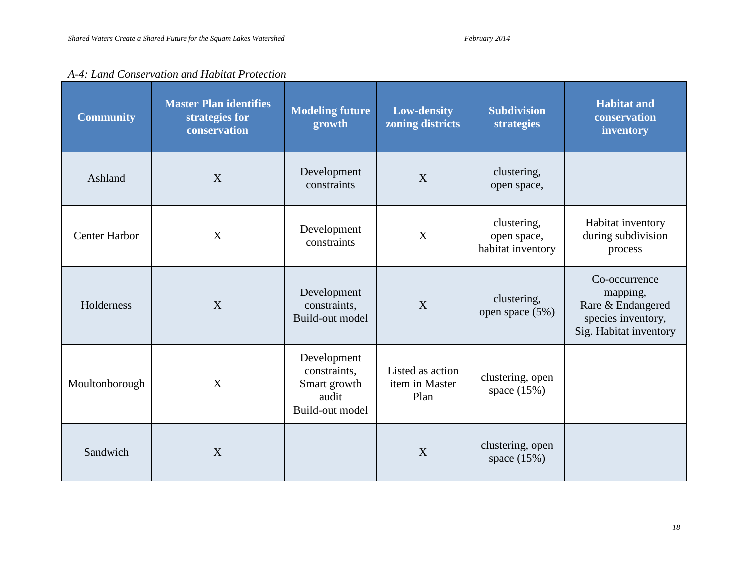open space (5%)

clustering, open space (15%)

space  $(15\%)$ 

|                      | A-4. Lana Conservation and Habital Frotection                   |                                  |                                        |                                                 |                                                    |  |
|----------------------|-----------------------------------------------------------------|----------------------------------|----------------------------------------|-------------------------------------------------|----------------------------------------------------|--|
| <b>Community</b>     | <b>Master Plan identifies</b><br>strategies for<br>conservation | <b>Modeling future</b><br>growth | <b>Low-density</b><br>zoning districts | <b>Subdivision</b><br><b>strategies</b>         | <b>Habitat and</b><br>conservation<br>inventory    |  |
| Ashland              | X                                                               | Development<br>constraints       | X                                      | clustering,<br>open space,                      |                                                    |  |
| <b>Center Harbor</b> | X                                                               | Development<br>constraints       | X                                      | clustering,<br>open space,<br>habitat inventory | Habitat inventory<br>during subdivision<br>process |  |
| Holderness           | X                                                               | Development<br>constraints,      | $\mathbf X$                            | clustering,<br>$\sqrt{2}$                       | Co-occurrence<br>mapping,<br>Rare & Endangered     |  |

Build-out model

Development constraints, Smart growth audit Build-out model

Sandwich  $X$   $X$  clustering, open  $X$  clustering, open  $X$  clustering, open

Listed as action item in Master Plan

# *A-4: Land Conservation and Habitat Protection*

Moultonborough X

species inventory, Sig. Habitat inventory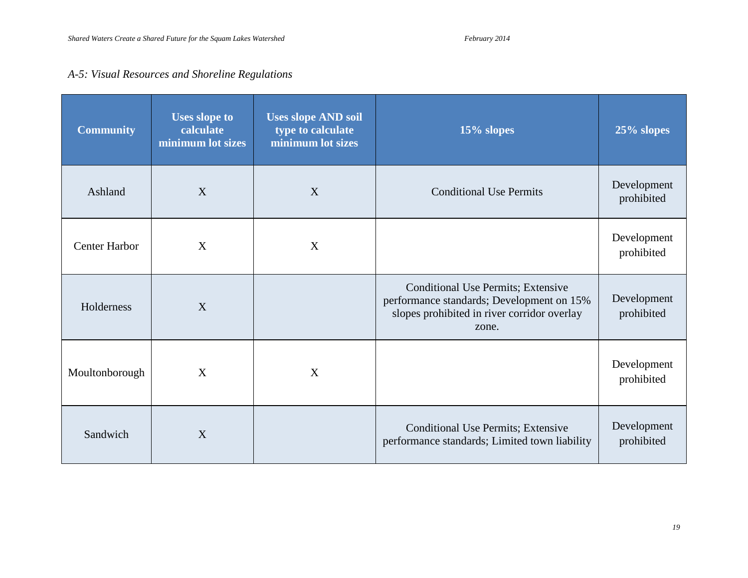# *A-5: Visual Resources and Shoreline Regulations*

| <b>Community</b>     | <b>Uses slope to</b><br>calculate<br>minimum lot sizes | <b>Uses slope AND soil</b><br>type to calculate<br>minimum lot sizes | $15\%$ slopes                                                                                                                                  | $25\%$ slopes             |
|----------------------|--------------------------------------------------------|----------------------------------------------------------------------|------------------------------------------------------------------------------------------------------------------------------------------------|---------------------------|
| Ashland              | X                                                      | X                                                                    | <b>Conditional Use Permits</b>                                                                                                                 | Development<br>prohibited |
| <b>Center Harbor</b> | X                                                      | X                                                                    |                                                                                                                                                | Development<br>prohibited |
| Holderness           | X                                                      |                                                                      | <b>Conditional Use Permits; Extensive</b><br>performance standards; Development on 15%<br>slopes prohibited in river corridor overlay<br>zone. | Development<br>prohibited |
| Moultonborough       | X                                                      | X                                                                    |                                                                                                                                                | Development<br>prohibited |
| Sandwich             | X                                                      |                                                                      | Conditional Use Permits; Extensive<br>performance standards; Limited town liability                                                            | Development<br>prohibited |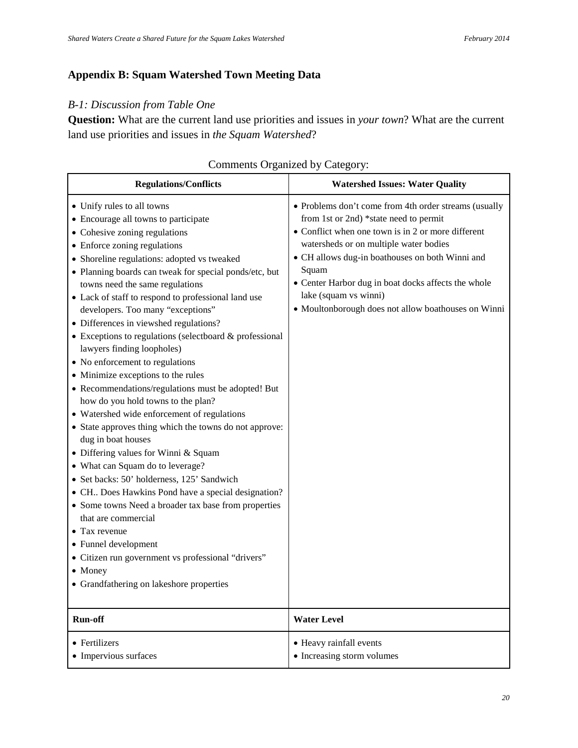# **Appendix B: Squam Watershed Town Meeting Data**

### *B-1: Discussion from Table One*

**Question:** What are the current land use priorities and issues in *your town*? What are the current land use priorities and issues in *the Squam Watershed*?

| <b>Regulations/Conflicts</b>                                                                                                                                                                                                                                                                                                                                                                                                                                                                                                                                                                                                                                                                                                                                                                                                                                                                                                                                                                                                                                                                                                                                                                                                                            | <b>Watershed Issues: Water Quality</b>                                                                                                                                                                                                                                                                                                                                                             |
|---------------------------------------------------------------------------------------------------------------------------------------------------------------------------------------------------------------------------------------------------------------------------------------------------------------------------------------------------------------------------------------------------------------------------------------------------------------------------------------------------------------------------------------------------------------------------------------------------------------------------------------------------------------------------------------------------------------------------------------------------------------------------------------------------------------------------------------------------------------------------------------------------------------------------------------------------------------------------------------------------------------------------------------------------------------------------------------------------------------------------------------------------------------------------------------------------------------------------------------------------------|----------------------------------------------------------------------------------------------------------------------------------------------------------------------------------------------------------------------------------------------------------------------------------------------------------------------------------------------------------------------------------------------------|
| • Unify rules to all towns<br>• Encourage all towns to participate<br>• Cohesive zoning regulations<br>• Enforce zoning regulations<br>• Shoreline regulations: adopted vs tweaked<br>• Planning boards can tweak for special ponds/etc, but<br>towns need the same regulations<br>• Lack of staff to respond to professional land use<br>developers. Too many "exceptions"<br>• Differences in viewshed regulations?<br>$\bullet$ Exceptions to regulations (selectboard & professional<br>lawyers finding loopholes)<br>• No enforcement to regulations<br>• Minimize exceptions to the rules<br>• Recommendations/regulations must be adopted! But<br>how do you hold towns to the plan?<br>• Watershed wide enforcement of regulations<br>• State approves thing which the towns do not approve:<br>dug in boat houses<br>• Differing values for Winni & Squam<br>• What can Squam do to leverage?<br>· Set backs: 50' holderness, 125' Sandwich<br>• CH Does Hawkins Pond have a special designation?<br>• Some towns Need a broader tax base from properties<br>that are commercial<br>$\bullet$ Tax revenue<br>• Funnel development<br>• Citizen run government vs professional "drivers"<br>• Money<br>• Grandfathering on lakeshore properties | • Problems don't come from 4th order streams (usually<br>from 1st or 2nd) *state need to permit<br>• Conflict when one town is in 2 or more different<br>watersheds or on multiple water bodies<br>• CH allows dug-in boathouses on both Winni and<br>Squam<br>• Center Harbor dug in boat docks affects the whole<br>lake (squam vs winni)<br>• Moultonborough does not allow boathouses on Winni |
| <b>Run-off</b>                                                                                                                                                                                                                                                                                                                                                                                                                                                                                                                                                                                                                                                                                                                                                                                                                                                                                                                                                                                                                                                                                                                                                                                                                                          | <b>Water Level</b>                                                                                                                                                                                                                                                                                                                                                                                 |
| • Fertilizers                                                                                                                                                                                                                                                                                                                                                                                                                                                                                                                                                                                                                                                                                                                                                                                                                                                                                                                                                                                                                                                                                                                                                                                                                                           | • Heavy rainfall events                                                                                                                                                                                                                                                                                                                                                                            |
| • Impervious surfaces                                                                                                                                                                                                                                                                                                                                                                                                                                                                                                                                                                                                                                                                                                                                                                                                                                                                                                                                                                                                                                                                                                                                                                                                                                   | • Increasing storm volumes                                                                                                                                                                                                                                                                                                                                                                         |

### Comments Organized by Category: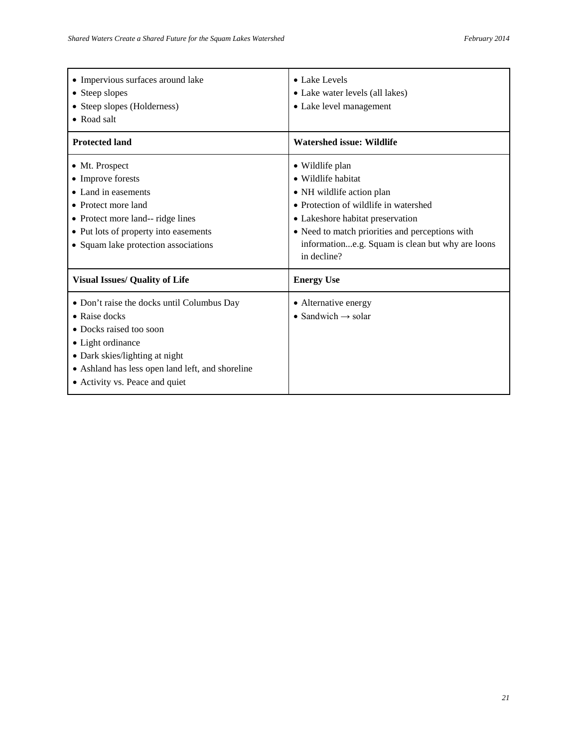| • Impervious surfaces around lake<br>• Steep slopes<br>• Steep slopes (Holderness)<br>• Road salt                                                                                                                                           | • Lake Levels<br>• Lake water levels (all lakes)<br>• Lake level management                                                                                                                                                                                           |
|---------------------------------------------------------------------------------------------------------------------------------------------------------------------------------------------------------------------------------------------|-----------------------------------------------------------------------------------------------------------------------------------------------------------------------------------------------------------------------------------------------------------------------|
| <b>Protected land</b>                                                                                                                                                                                                                       | <b>Watershed issue: Wildlife</b>                                                                                                                                                                                                                                      |
| • Mt. Prospect<br>• Improve forests<br>• Land in easements<br>• Protect more land<br>• Protect more land-- ridge lines<br>• Put lots of property into easements<br>• Squam lake protection associations                                     | • Wildlife plan<br>• Wildlife habitat<br>• NH wildlife action plan<br>• Protection of wildlife in watershed<br>• Lakeshore habitat preservation<br>• Need to match priorities and perceptions with<br>informatione.g. Squam is clean but why are loons<br>in decline? |
| <b>Visual Issues/ Quality of Life</b>                                                                                                                                                                                                       | <b>Energy Use</b>                                                                                                                                                                                                                                                     |
| • Don't raise the docks until Columbus Day<br>$\bullet$ Raise docks<br>• Docks raised too soon<br>• Light ordinance<br>• Dark skies/lighting at night<br>• Ashland has less open land left, and shoreline<br>• Activity vs. Peace and quiet | • Alternative energy<br>• Sandwich $\rightarrow$ solar                                                                                                                                                                                                                |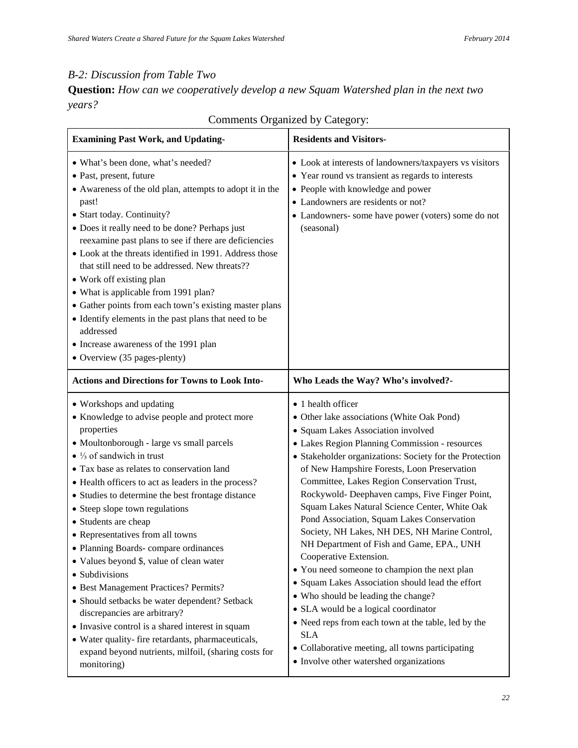# *B-2: Discussion from Table Two*

**Question:** *How can we cooperatively develop a new Squam Watershed plan in the next two years?*

| <b>Examining Past Work, and Updating-</b>                                                                                                                                                                                                                                                                                                                                                                                                                                                                                                                                                                                                                                                                                                                                                                                                                       | <b>Residents and Visitors-</b>                                                                                                                                                                                                                                                                                                                                                                                                                                                                                                                                                                                                                                                                                                                                                                                                                                                                                                                    |
|-----------------------------------------------------------------------------------------------------------------------------------------------------------------------------------------------------------------------------------------------------------------------------------------------------------------------------------------------------------------------------------------------------------------------------------------------------------------------------------------------------------------------------------------------------------------------------------------------------------------------------------------------------------------------------------------------------------------------------------------------------------------------------------------------------------------------------------------------------------------|---------------------------------------------------------------------------------------------------------------------------------------------------------------------------------------------------------------------------------------------------------------------------------------------------------------------------------------------------------------------------------------------------------------------------------------------------------------------------------------------------------------------------------------------------------------------------------------------------------------------------------------------------------------------------------------------------------------------------------------------------------------------------------------------------------------------------------------------------------------------------------------------------------------------------------------------------|
| • What's been done, what's needed?<br>• Past, present, future<br>• Awareness of the old plan, attempts to adopt it in the<br>past!<br>· Start today. Continuity?<br>• Does it really need to be done? Perhaps just<br>reexamine past plans to see if there are deficiencies<br>• Look at the threats identified in 1991. Address those<br>that still need to be addressed. New threats??<br>• Work off existing plan<br>• What is applicable from 1991 plan?<br>• Gather points from each town's existing master plans<br>• Identify elements in the past plans that need to be<br>addressed<br>• Increase awareness of the 1991 plan<br>• Overview (35 pages-plenty)                                                                                                                                                                                           | • Look at interests of landowners/taxpayers vs visitors<br>• Year round vs transient as regards to interests<br>• People with knowledge and power<br>• Landowners are residents or not?<br>• Landowners- some have power (voters) some do not<br>(seasonal)                                                                                                                                                                                                                                                                                                                                                                                                                                                                                                                                                                                                                                                                                       |
| <b>Actions and Directions for Towns to Look Into-</b>                                                                                                                                                                                                                                                                                                                                                                                                                                                                                                                                                                                                                                                                                                                                                                                                           | Who Leads the Way? Who's involved?-                                                                                                                                                                                                                                                                                                                                                                                                                                                                                                                                                                                                                                                                                                                                                                                                                                                                                                               |
| • Workshops and updating<br>• Knowledge to advise people and protect more<br>properties<br>• Moultonborough - large vs small parcels<br>$\bullet$ 1/ <sub>3</sub> of sandwich in trust<br>• Tax base as relates to conservation land<br>• Health officers to act as leaders in the process?<br>• Studies to determine the best frontage distance<br>• Steep slope town regulations<br>• Students are cheap<br>• Representatives from all towns<br>• Planning Boards-compare ordinances<br>• Values beyond \$, value of clean water<br>· Subdivisions<br>· Best Management Practices? Permits?<br>• Should setbacks be water dependent? Setback<br>discrepancies are arbitrary?<br>• Invasive control is a shared interest in squam<br>• Water quality- fire retardants, pharmaceuticals,<br>expand beyond nutrients, milfoil, (sharing costs for<br>monitoring) | • 1 health officer<br>• Other lake associations (White Oak Pond)<br>• Squam Lakes Association involved<br>• Lakes Region Planning Commission - resources<br>• Stakeholder organizations: Society for the Protection<br>of New Hampshire Forests, Loon Preservation<br>Committee, Lakes Region Conservation Trust,<br>Rockywold- Deephaven camps, Five Finger Point,<br>Squam Lakes Natural Science Center, White Oak<br>Pond Association, Squam Lakes Conservation<br>Society, NH Lakes, NH DES, NH Marine Control,<br>NH Department of Fish and Game, EPA., UNH<br>Cooperative Extension.<br>• You need someone to champion the next plan<br>• Squam Lakes Association should lead the effort<br>• Who should be leading the change?<br>• SLA would be a logical coordinator<br>• Need reps from each town at the table, led by the<br><b>SLA</b><br>• Collaborative meeting, all towns participating<br>• Involve other watershed organizations |

# Comments Organized by Category: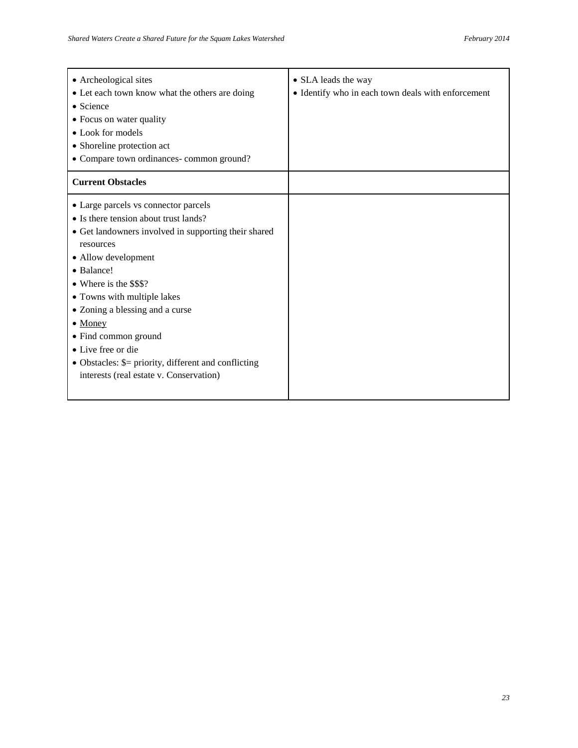| • Archeological sites<br>• Let each town know what the others are doing<br>• Science<br>• Focus on water quality<br>• Look for models<br>• Shoreline protection act<br>• Compare town ordinances-common ground?                                                                                                                                                                                                                                              | • SLA leads the way<br>• Identify who in each town deals with enforcement |
|--------------------------------------------------------------------------------------------------------------------------------------------------------------------------------------------------------------------------------------------------------------------------------------------------------------------------------------------------------------------------------------------------------------------------------------------------------------|---------------------------------------------------------------------------|
| <b>Current Obstacles</b>                                                                                                                                                                                                                                                                                                                                                                                                                                     |                                                                           |
| • Large parcels vs connector parcels<br>• Is there tension about trust lands?<br>• Get landowners involved in supporting their shared<br>resources<br>• Allow development<br>• Balance!<br>• Where is the \$\$\$?<br>• Towns with multiple lakes<br>• Zoning a blessing and a curse<br>$\bullet$ Money<br>• Find common ground<br>• Live free or die<br>• Obstacles: $\equiv$ priority, different and conflicting<br>interests (real estate v. Conservation) |                                                                           |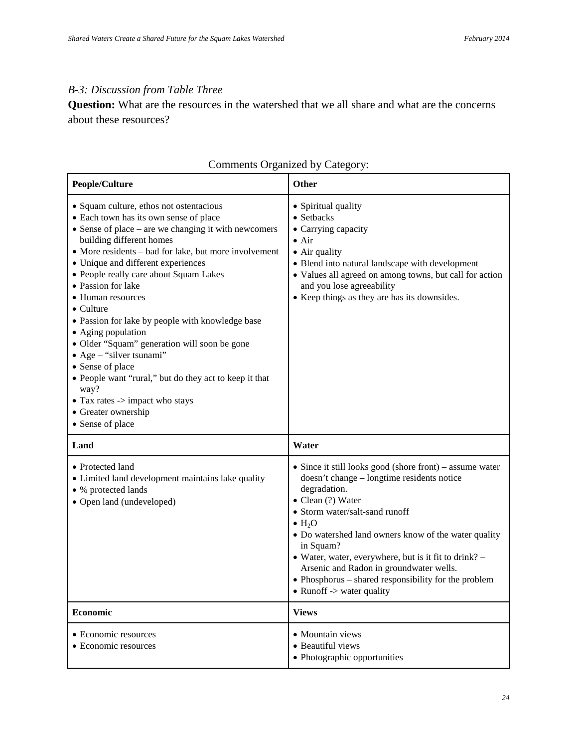# *B-3: Discussion from Table Three*

**Question:** What are the resources in the watershed that we all share and what are the concerns about these resources?

| People/Culture                                                                                                                                                                                                                                                                                                                                                                                                                                                                                                                                                                                                                                                                                                                   | Other                                                                                                                                                                                                                                                                                                                                                                                                                                                                                          |
|----------------------------------------------------------------------------------------------------------------------------------------------------------------------------------------------------------------------------------------------------------------------------------------------------------------------------------------------------------------------------------------------------------------------------------------------------------------------------------------------------------------------------------------------------------------------------------------------------------------------------------------------------------------------------------------------------------------------------------|------------------------------------------------------------------------------------------------------------------------------------------------------------------------------------------------------------------------------------------------------------------------------------------------------------------------------------------------------------------------------------------------------------------------------------------------------------------------------------------------|
| • Squam culture, ethos not ostentacious<br>• Each town has its own sense of place<br>$\bullet$ Sense of place – are we changing it with newcomers<br>building different homes<br>• More residents – bad for lake, but more involvement<br>• Unique and different experiences<br>• People really care about Squam Lakes<br>• Passion for lake<br>• Human resources<br>$\bullet$ Culture<br>• Passion for lake by people with knowledge base<br>• Aging population<br>· Older "Squam" generation will soon be gone<br>$\bullet$ Age – "silver tsunami"<br>• Sense of place<br>• People want "rural," but do they act to keep it that<br>way?<br>$\bullet$ Tax rates -> impact who stays<br>• Greater ownership<br>• Sense of place | • Spiritual quality<br>• Setbacks<br>• Carrying capacity<br>$\bullet$ Air<br>• Air quality<br>· Blend into natural landscape with development<br>• Values all agreed on among towns, but call for action<br>and you lose agreeability<br>• Keep things as they are has its downsides.                                                                                                                                                                                                          |
| Land                                                                                                                                                                                                                                                                                                                                                                                                                                                                                                                                                                                                                                                                                                                             | Water                                                                                                                                                                                                                                                                                                                                                                                                                                                                                          |
| • Protected land<br>• Limited land development maintains lake quality<br>• % protected lands<br>• Open land (undeveloped)                                                                                                                                                                                                                                                                                                                                                                                                                                                                                                                                                                                                        | • Since it still looks good (shore front) – assume water<br>doesn't change – longtime residents notice<br>degradation.<br>$\bullet$ Clean (?) Water<br>• Storm water/salt-sand runoff<br>$\bullet$ H <sub>2</sub> O<br>• Do watershed land owners know of the water quality<br>in Squam?<br>• Water, water, everywhere, but is it fit to drink? $-$<br>Arsenic and Radon in groundwater wells.<br>• Phosphorus – shared responsibility for the problem<br>• Runoff $\rightarrow$ water quality |
| <b>Economic</b>                                                                                                                                                                                                                                                                                                                                                                                                                                                                                                                                                                                                                                                                                                                  | <b>Views</b>                                                                                                                                                                                                                                                                                                                                                                                                                                                                                   |
| • Economic resources<br>• Economic resources                                                                                                                                                                                                                                                                                                                                                                                                                                                                                                                                                                                                                                                                                     | • Mountain views<br>· Beautiful views<br>• Photographic opportunities                                                                                                                                                                                                                                                                                                                                                                                                                          |

# Comments Organized by Category: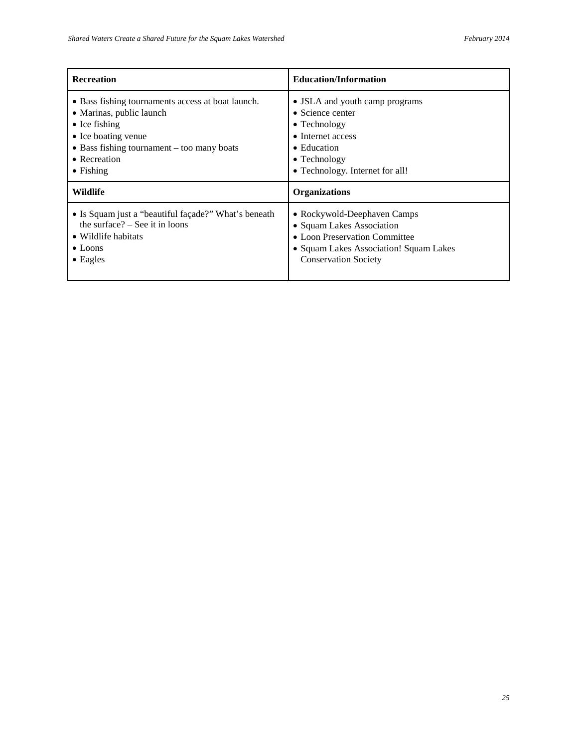| <b>Recreation</b>                                    | <b>Education/Information</b>           |
|------------------------------------------------------|----------------------------------------|
| • Bass fishing tournaments access at boat launch.    | • JSLA and youth camp programs         |
| • Marinas, public launch                             | • Science center                       |
| $\bullet$ Ice fishing                                | $\bullet$ Technology                   |
| • Ice boating venue                                  | • Internet access                      |
| $\bullet$ Bass fishing tournament – too many boats   | $\bullet$ Education                    |
| • Recreation                                         | $\bullet$ Technology                   |
| $\bullet$ Fishing                                    | • Technology. Internet for all!        |
| Wildlife                                             | <b>Organizations</b>                   |
| • Is Squam just a "beautiful façade?" What's beneath | • Rockywold-Deephaven Camps            |
| the surface? $-$ See it in loons                     | • Squam Lakes Association              |
| • Wildlife habitats                                  | • Loon Preservation Committee          |
| $\bullet$ Loons                                      | • Squam Lakes Association! Squam Lakes |
| $\bullet$ Eagles                                     | <b>Conservation Society</b>            |